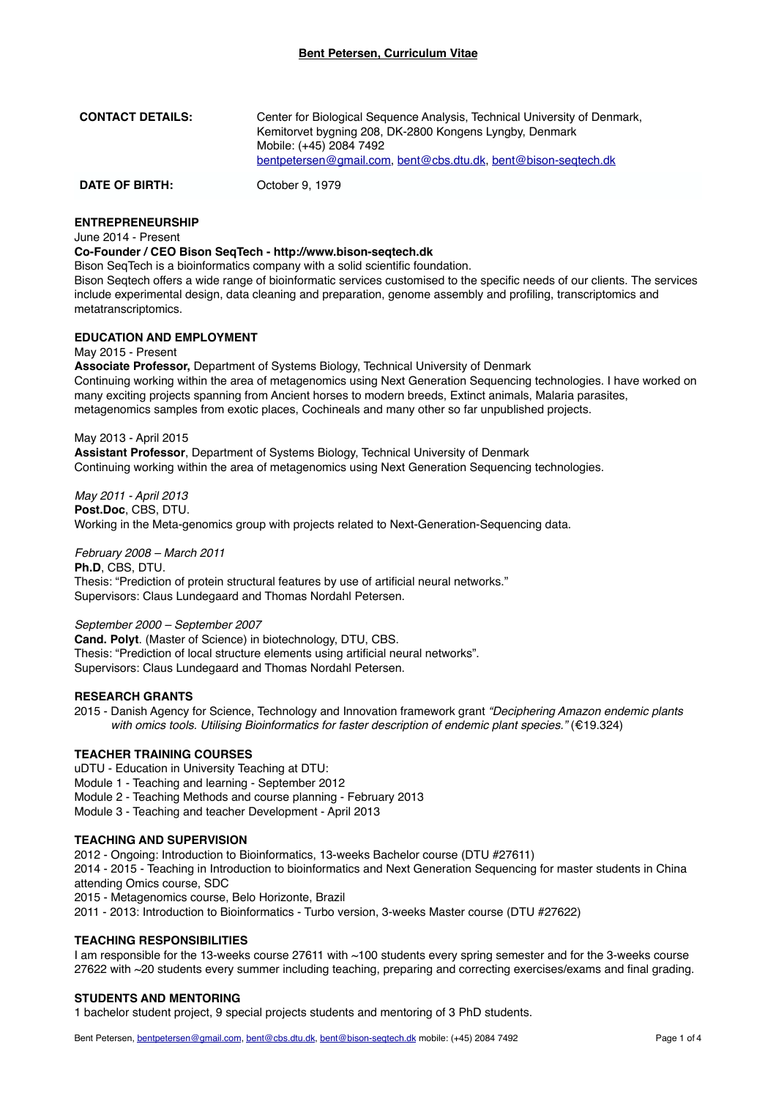| <b>CONTACT DETAILS:</b> | Center for Biological Sequence Analysis, Technical University of Denmark,<br>Kemitorvet bygning 208, DK-2800 Kongens Lyngby, Denmark<br>Mobile: (+45) 2084 7492<br>bentpetersen@gmail.com, bent@cbs.dtu.dk, bent@bison-seqtech.dk |
|-------------------------|-----------------------------------------------------------------------------------------------------------------------------------------------------------------------------------------------------------------------------------|
| <b>DATE OF BIRTH:</b>   | October 9, 1979                                                                                                                                                                                                                   |

# **ENTREPRENEURSHIP**

June 2014 - Present

# **Co-Founder / CEO Bison SeqTech - http://www.bison-seqtech.dk**

Bison SeqTech is a bioinformatics company with a solid scientific foundation.

Bison Seatech offers a wide range of bioinformatic services customised to the specific needs of our clients. The services include experimental design, data cleaning and preparation, genome assembly and profiling, transcriptomics and metatranscriptomics.

## **EDUCATION AND EMPLOYMENT**

May 2015 - Present

**Associate Professor,** Department of Systems Biology, Technical University of Denmark Continuing working within the area of metagenomics using Next Generation Sequencing technologies. I have worked on many exciting projects spanning from Ancient horses to modern breeds, Extinct animals, Malaria parasites, metagenomics samples from exotic places, Cochineals and many other so far unpublished projects.

May 2013 - April 2015 **Assistant Professor**, Department of Systems Biology, Technical University of Denmark Continuing working within the area of metagenomics using Next Generation Sequencing technologies.

*May 2011 - April 2013* **Post.Doc**, CBS, DTU. Working in the Meta-genomics group with projects related to Next-Generation-Sequencing data.

*February 2008 – March 2011* **Ph.D**, CBS, DTU. Thesis: "Prediction of protein structural features by use of artificial neural networks."

Supervisors: Claus Lundegaard and Thomas Nordahl Petersen.

## *September 2000 – September 2007*

**Cand. Polyt**. (Master of Science) in biotechnology, DTU, CBS. Thesis: "Prediction of local structure elements using artificial neural networks". Supervisors: Claus Lundegaard and Thomas Nordahl Petersen.

# **RESEARCH GRANTS**

2015 - Danish Agency for Science, Technology and Innovation framework grant *"Deciphering Amazon endemic plants with omics tools. Utilising Bioinformatics for faster description of endemic plant species."* (€19.324)

## **TEACHER TRAINING COURSES**

uDTU - Education in University Teaching at DTU:

Module 1 - Teaching and learning - September 2012

Module 2 - Teaching Methods and course planning - February 2013

Module 3 - Teaching and teacher Development - April 2013

# **TEACHING AND SUPERVISION**

2012 - Ongoing: Introduction to Bioinformatics, 13-weeks Bachelor course (DTU #27611) 2014 - 2015 - Teaching in Introduction to bioinformatics and Next Generation Sequencing for master students in China attending Omics course, SDC 2015 - Metagenomics course, Belo Horizonte, Brazil 2011 - 2013: Introduction to Bioinformatics - Turbo version, 3-weeks Master course (DTU #27622)

### **TEACHING RESPONSIBILITIES**

I am responsible for the 13-weeks course 27611 with ~100 students every spring semester and for the 3-weeks course 27622 with ~20 students every summer including teaching, preparing and correcting exercises/exams and final grading.

## **STUDENTS AND MENTORING**

1 bachelor student project, 9 special projects students and mentoring of 3 PhD students.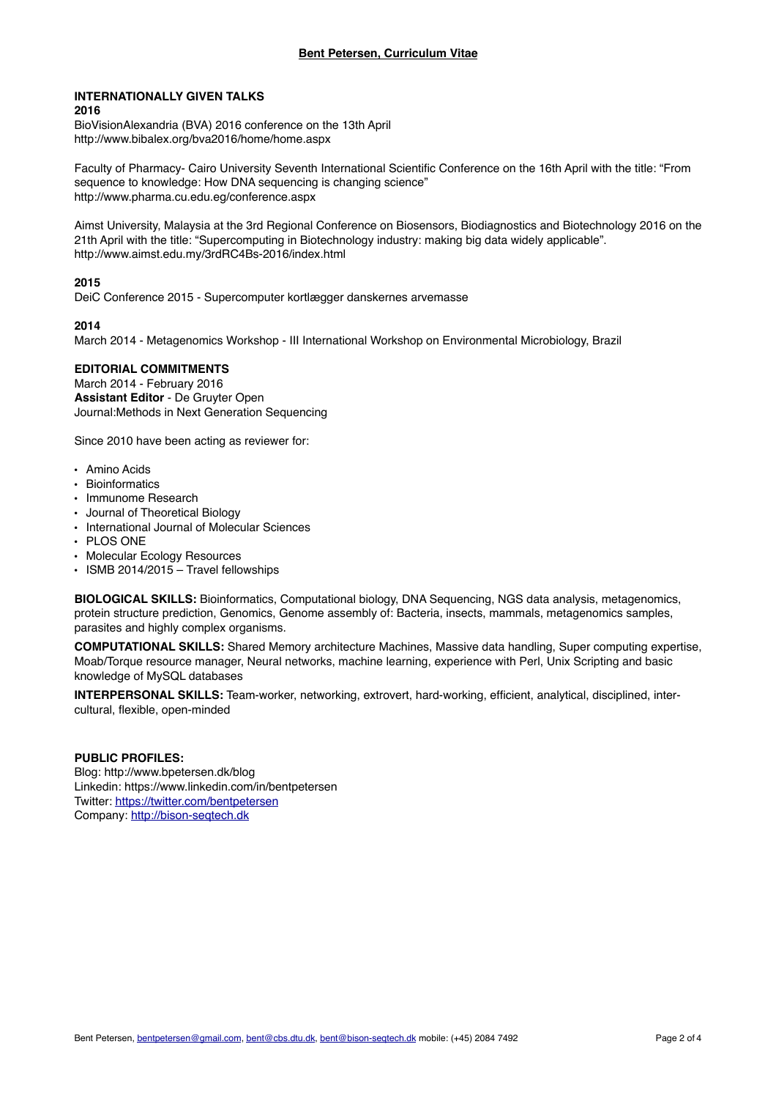#### **INTERNATIONALLY GIVEN TALKS 2016**

BioVisionAlexandria (BVA) 2016 conference on the 13th April http://www.bibalex.org/bva2016/home/home.aspx

Faculty of Pharmacy- Cairo University Seventh International Scientific Conference on the 16th April with the title: "From sequence to knowledge: How DNA sequencing is changing science" http://www.pharma.cu.edu.eg/conference.aspx

Aimst University, Malaysia at the 3rd Regional Conference on Biosensors, Biodiagnostics and Biotechnology 2016 on the 21th April with the title: "Supercomputing in Biotechnology industry: making big data widely applicable". http://www.aimst.edu.my/3rdRC4Bs-2016/index.html

# **2015**

DeiC Conference 2015 - Supercomputer kortlægger danskernes arvemasse

# **2014**

March 2014 - Metagenomics Workshop - III International Workshop on Environmental Microbiology, Brazil

# **EDITORIAL COMMITMENTS**

March 2014 - February 2016 **Assistant Editor** - De Gruyter Open Journal:Methods in Next Generation Sequencing

Since 2010 have been acting as reviewer for:

- Amino Acids
- Bioinformatics
- Immunome Research
- Journal of Theoretical Biology
- International Journal of Molecular Sciences
- PLOS ONE
- Molecular Ecology Resources
- ISMB 2014/2015 Travel fellowships

**BIOLOGICAL SKILLS:** Bioinformatics, Computational biology, DNA Sequencing, NGS data analysis, metagenomics, protein structure prediction, Genomics, Genome assembly of: Bacteria, insects, mammals, metagenomics samples, parasites and highly complex organisms.

**COMPUTATIONAL SKILLS:** Shared Memory architecture Machines, Massive data handling, Super computing expertise, Moab/Torque resource manager, Neural networks, machine learning, experience with Perl, Unix Scripting and basic knowledge of MySQL databases

**INTERPERSONAL SKILLS:** Team-worker, networking, extrovert, hard-working, efficient, analytical, disciplined, intercultural, flexible, open-minded

# **PUBLIC PROFILES:**

Blog: http://www.bpetersen.dk/blog Linkedin: https://www.linkedin.com/in/bentpetersen Twitter:<https://twitter.com/bentpetersen> Company:<http://bison-seqtech.dk>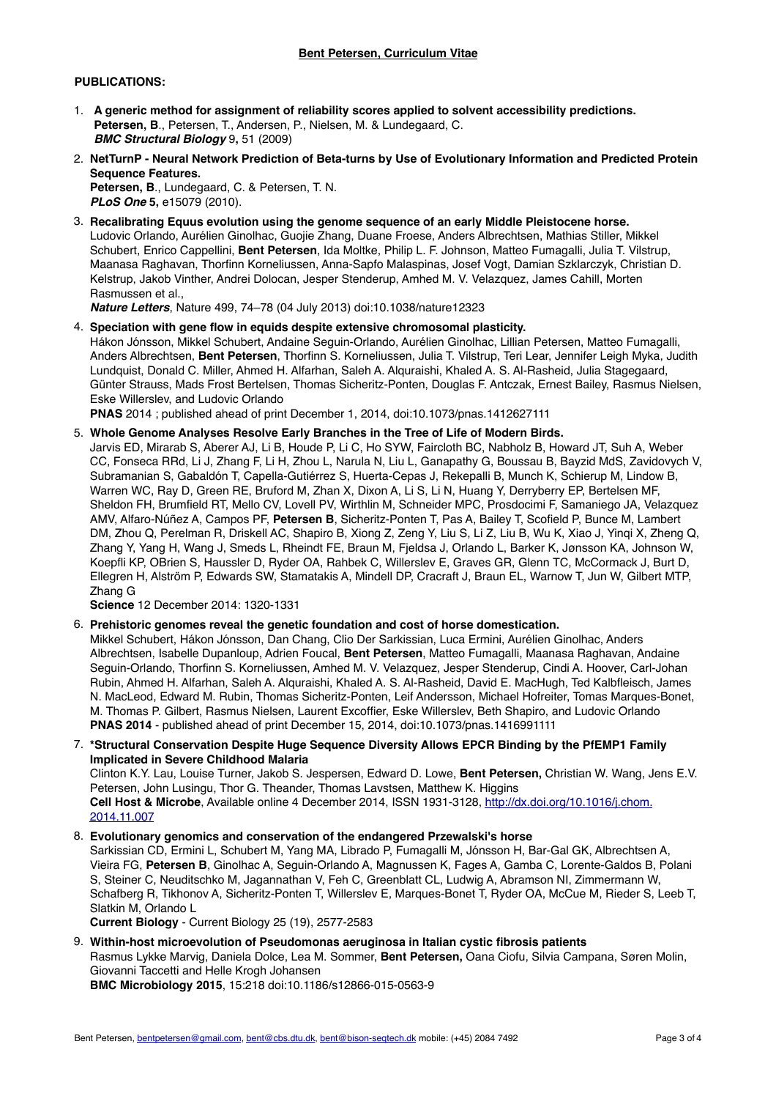## **Bent Petersen, Curriculum Vitae**

# **PUBLICATIONS:**

- 1. **A generic method for assignment of reliability scores applied to solvent accessibility predictions. Petersen, B**., Petersen, T., Andersen, P., Nielsen, M. & Lundegaard, C. *BMC Structural Biology* 9**,** 51 (2009)
- 2. **NetTurnP Neural Network Prediction of Beta-turns by Use of Evolutionary Information and Predicted Protein Sequence Features. Petersen, B**., Lundegaard, C. & Petersen, T. N.

*PLoS One* **5,** e15079 (2010).

3. **Recalibrating Equus evolution using the genome sequence of an early Middle Pleistocene horse.** Ludovic Orlando, Aurélien Ginolhac, Guojie Zhang, Duane Froese, Anders Albrechtsen, Mathias Stiller, Mikkel Schubert, Enrico Cappellini, **Bent Petersen**, Ida Moltke, Philip L. F. Johnson, Matteo Fumagalli, Julia T. Vilstrup, Maanasa Raghavan, Thorfinn Korneliussen, Anna-Sapfo Malaspinas, Josef Vogt, Damian Szklarczyk, Christian D. Kelstrup, Jakob Vinther, Andrei Dolocan, Jesper Stenderup, Amhed M. V. Velazquez, James Cahill, Morten Rasmussen et al.,

*Nature Letters*, Nature 499, 74–78 (04 July 2013) doi:10.1038/nature12323

4. **Speciation with gene flow in equids despite extensive chromosomal plasticity.** Hákon Jónsson, Mikkel Schubert, Andaine Seguin-Orlando, Aurélien Ginolhac, Lillian Petersen, Matteo Fumagalli, Anders Albrechtsen, **Bent Petersen**, Thorfinn S. Korneliussen, Julia T. Vilstrup, Teri Lear, Jennifer Leigh Myka, Judith Lundquist, Donald C. Miller, Ahmed H. Alfarhan, Saleh A. Alquraishi, Khaled A. S. Al-Rasheid, Julia Stagegaard, Günter Strauss, Mads Frost Bertelsen, Thomas Sicheritz-Ponten, Douglas F. Antczak, Ernest Bailey, Rasmus Nielsen, Eske Willerslev, and Ludovic Orlando

**PNAS** 2014 ; published ahead of print December 1, 2014, doi:10.1073/pnas.1412627111

## 5. **Whole Genome Analyses Resolve Early Branches in the Tree of Life of Modern Birds.**

Jarvis ED, Mirarab S, Aberer AJ, Li B, Houde P, Li C, Ho SYW, Faircloth BC, Nabholz B, Howard JT, Suh A, Weber CC, Fonseca RRd, Li J, Zhang F, Li H, Zhou L, Narula N, Liu L, Ganapathy G, Boussau B, Bayzid MdS, Zavidovych V, Subramanian S, Gabaldón T, Capella-Gutiérrez S, Huerta-Cepas J, Rekepalli B, Munch K, Schierup M, Lindow B, Warren WC, Ray D, Green RE, Bruford M, Zhan X, Dixon A, Li S, Li N, Huang Y, Derryberry EP, Bertelsen MF, Sheldon FH, Brumfield RT, Mello CV, Lovell PV, Wirthlin M, Schneider MPC, Prosdocimi F, Samaniego JA, Velazquez AMV, Alfaro-Núñez A, Campos PF, **Petersen B**, Sicheritz-Ponten T, Pas A, Bailey T, Scofield P, Bunce M, Lambert DM, Zhou Q, Perelman R, Driskell AC, Shapiro B, Xiong Z, Zeng Y, Liu S, Li Z, Liu B, Wu K, Xiao J, Yinqi X, Zheng Q, Zhang Y, Yang H, Wang J, Smeds L, Rheindt FE, Braun M, Fjeldsa J, Orlando L, Barker K, Jønsson KA, Johnson W, Koepfli KP, OBrien S, Haussler D, Ryder OA, Rahbek C, Willerslev E, Graves GR, Glenn TC, McCormack J, Burt D, Ellegren H, Alström P, Edwards SW, Stamatakis A, Mindell DP, Cracraft J, Braun EL, Warnow T, Jun W, Gilbert MTP, Zhang G

**Science** 12 December 2014: 1320-1331

6. **Prehistoric genomes reveal the genetic foundation and cost of horse domestication.**

Mikkel Schubert, Hákon Jónsson, Dan Chang, Clio Der Sarkissian, Luca Ermini, Aurélien Ginolhac, Anders Albrechtsen, Isabelle Dupanloup, Adrien Foucal, **Bent Petersen**, Matteo Fumagalli, Maanasa Raghavan, Andaine Seguin-Orlando, Thorfinn S. Korneliussen, Amhed M. V. Velazquez, Jesper Stenderup, Cindi A. Hoover, Carl-Johan Rubin, Ahmed H. Alfarhan, Saleh A. Alquraishi, Khaled A. S. Al-Rasheid, David E. MacHugh, Ted Kalbfleisch, James N. MacLeod, Edward M. Rubin, Thomas Sicheritz-Ponten, Leif Andersson, Michael Hofreiter, Tomas Marques-Bonet, M. Thomas P. Gilbert, Rasmus Nielsen, Laurent Excoffier, Eske Willerslev, Beth Shapiro, and Ludovic Orlando **PNAS 2014** - published ahead of print December 15, 2014, doi:10.1073/pnas.1416991111

7. **\*Structural Conservation Despite Huge Sequence Diversity Allows EPCR Binding by the PfEMP1 Family Implicated in Severe Childhood Malaria**

Clinton K.Y. Lau, Louise Turner, Jakob S. Jespersen, Edward D. Lowe, **Bent Petersen,** Christian W. Wang, Jens E.V. Petersen, John Lusingu, Thor G. Theander, Thomas Lavstsen, Matthew K. Higgins **Cell Host & Microbe**[, Available online 4 December 2014, ISSN 1931-3128, http://dx.doi.org/10.1016/j.chom.](http://dx.doi.org/10.1016/j.chom.2014.11.007) 2014.11.007

## 8. **Evolutionary genomics and conservation of the endangered Przewalski's horse** Sarkissian CD, Ermini L, Schubert M, Yang MA, Librado P, Fumagalli M, Jónsson H, Bar-Gal GK, Albrechtsen A, Vieira FG, **Petersen B**, Ginolhac A, Seguin-Orlando A, Magnussen K, Fages A, Gamba C, Lorente-Galdos B, Polani S, Steiner C, Neuditschko M, Jagannathan V, Feh C, Greenblatt CL, Ludwig A, Abramson NI, Zimmermann W, Schafberg R, Tikhonov A, Sicheritz-Ponten T, Willerslev E, Marques-Bonet T, Ryder OA, McCue M, Rieder S, Leeb T, Slatkin M, Orlando L

**Current Biology** - Current Biology 25 (19), 2577-2583

9. **Within-host microevolution of Pseudomonas aeruginosa in Italian cystic fibrosis patients**

Rasmus Lykke Marvig, Daniela Dolce, Lea M. Sommer, **Bent Petersen,** Oana Ciofu, Silvia Campana, Søren Molin, Giovanni Taccetti and Helle Krogh Johansen

**BMC Microbiology 2015**, 15:218 doi:10.1186/s12866-015-0563-9